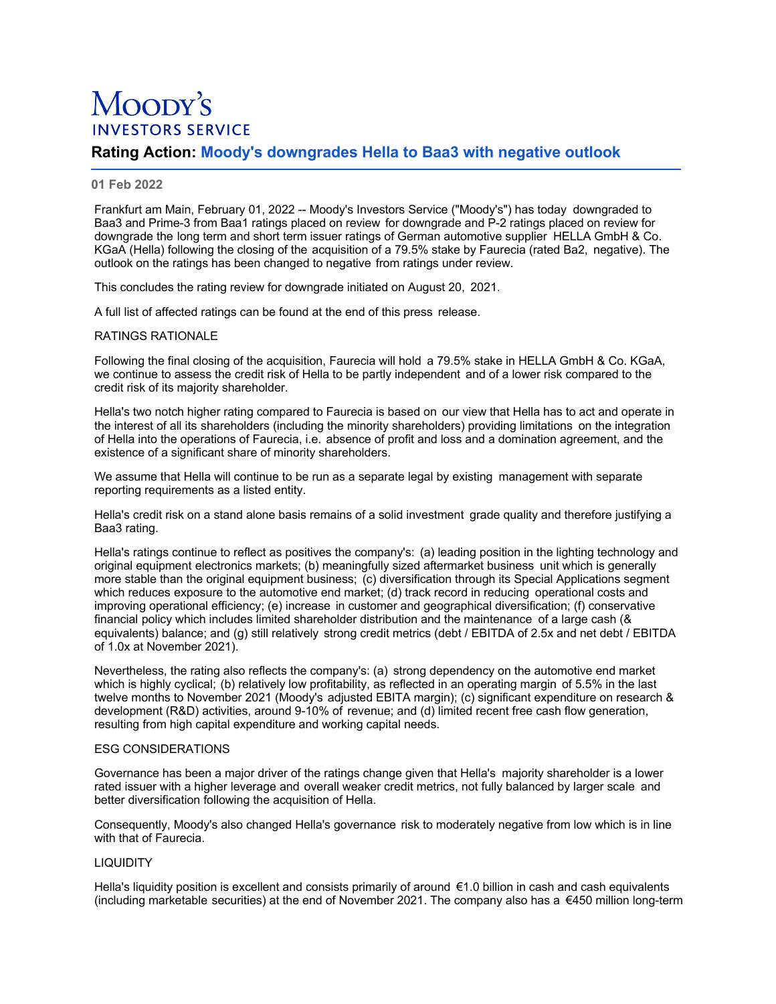# Moody's **INVESTORS SERVICE**

# **Rating Action: Moody's downgrades Hella to Baa3 with negative outlook**

### **01 Feb 2022**

Frankfurt am Main, February 01, 2022 -- Moody's Investors Service ("Moody's") has today downgraded to Baa3 and Prime-3 from Baa1 ratings placed on review for downgrade and P-2 ratings placed on review for downgrade the long term and short term issuer ratings of German automotive supplier HELLA GmbH & Co. KGaA (Hella) following the closing of the acquisition of a 79.5% stake by Faurecia (rated Ba2, negative). The outlook on the ratings has been changed to negative from ratings under review.

This concludes the rating review for downgrade initiated on August 20, 2021.

A full list of affected ratings can be found at the end of this press release.

#### RATINGS RATIONALE

Following the final closing of the acquisition, Faurecia will hold a 79.5% stake in HELLA GmbH & Co. KGaA, we continue to assess the credit risk of Hella to be partly independent and of a lower risk compared to the credit risk of its majority shareholder.

Hella's two notch higher rating compared to Faurecia is based on our view that Hella has to act and operate in the interest of all its shareholders (including the minority shareholders) providing limitations on the integration of Hella into the operations of Faurecia, i.e. absence of profit and loss and a domination agreement, and the existence of a significant share of minority shareholders.

We assume that Hella will continue to be run as a separate legal by existing management with separate reporting requirements as a listed entity.

Hella's credit risk on a stand alone basis remains of a solid investment grade quality and therefore justifying a Baa3 rating.

Hella's ratings continue to reflect as positives the company's: (a) leading position in the lighting technology and original equipment electronics markets; (b) meaningfully sized aftermarket business unit which is generally more stable than the original equipment business; (c) diversification through its Special Applications segment which reduces exposure to the automotive end market; (d) track record in reducing operational costs and improving operational efficiency; (e) increase in customer and geographical diversification; (f) conservative financial policy which includes limited shareholder distribution and the maintenance of a large cash (& equivalents) balance; and (g) still relatively strong credit metrics (debt / EBITDA of 2.5x and net debt / EBITDA of 1.0x at November 2021).

Nevertheless, the rating also reflects the company's: (a) strong dependency on the automotive end market which is highly cyclical; (b) relatively low profitability, as reflected in an operating margin of 5.5% in the last twelve months to November 2021 (Moody's adjusted EBITA margin); (c) significant expenditure on research & development (R&D) activities, around 9-10% of revenue; and (d) limited recent free cash flow generation, resulting from high capital expenditure and working capital needs.

#### ESG CONSIDERATIONS

Governance has been a major driver of the ratings change given that Hella's majority shareholder is a lower rated issuer with a higher leverage and overall weaker credit metrics, not fully balanced by larger scale and better diversification following the acquisition of Hella.

Consequently, Moody's also changed Hella's governance risk to moderately negative from low which is in line with that of Faurecia.

## LIQUIDITY

Hella's liquidity position is excellent and consists primarily of around €1.0 billion in cash and cash equivalents (including marketable securities) at the end of November 2021. The company also has a €450 million long-term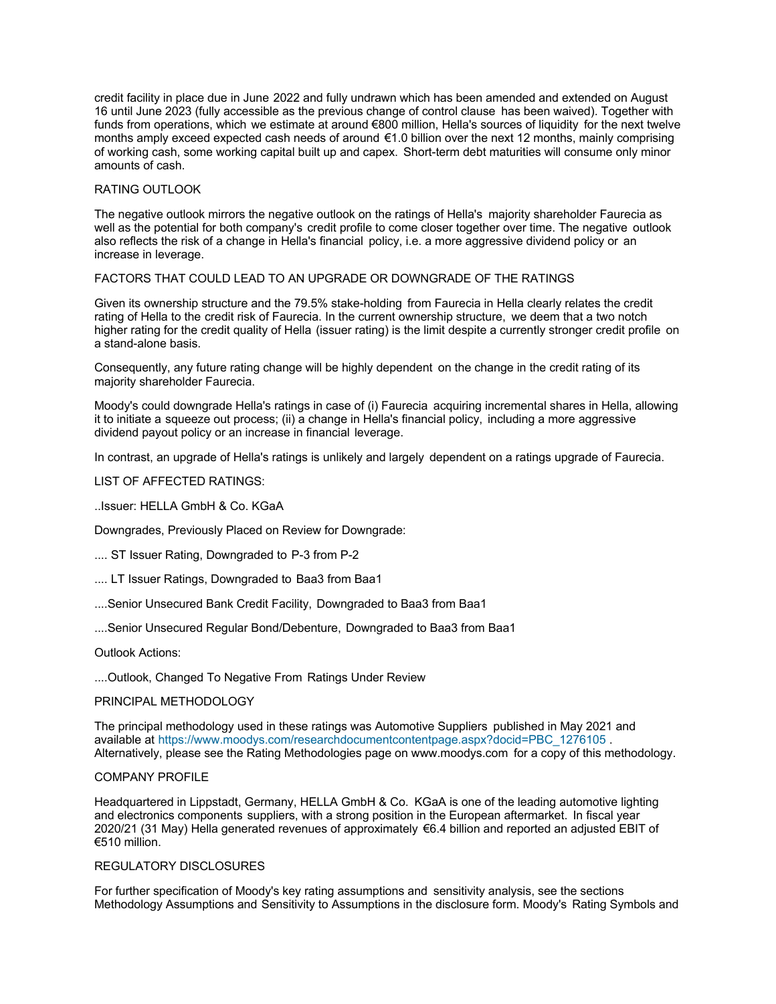credit facility in place due in June 2022 and fully undrawn which has been amended and extended on August 16 until June 2023 (fully accessible as the previous change of control clause has been waived). Together with funds from operations, which we estimate at around €800 million, Hella's sources of liquidity for the next twelve months amply exceed expected cash needs of around €1.0 billion over the next 12 months, mainly comprising of working cash, some working capital built up and capex. Short-term debt maturities will consume only minor amounts of cash.

#### RATING OUTLOOK

The negative outlook mirrors the negative outlook on the ratings of Hella's majority shareholder Faurecia as well as the potential for both company's credit profile to come closer together over time. The negative outlook also reflects the risk of a change in Hella's financial policy, i.e. a more aggressive dividend policy or an increase in leverage.

## FACTORS THAT COULD LEAD TO AN UPGRADE OR DOWNGRADE OF THE RATINGS

Given its ownership structure and the 79.5% stake-holding from Faurecia in Hella clearly relates the credit rating of Hella to the credit risk of Faurecia. In the current ownership structure, we deem that a two notch higher rating for the credit quality of Hella (issuer rating) is the limit despite a currently stronger credit profile on a stand-alone basis.

Consequently, any future rating change will be highly dependent on the change in the credit rating of its majority shareholder Faurecia.

Moody's could downgrade Hella's ratings in case of (i) Faurecia acquiring incremental shares in Hella, allowing it to initiate a squeeze out process; (ii) a change in Hella's financial policy, including a more aggressive dividend payout policy or an increase in financial leverage.

In contrast, an upgrade of Hella's ratings is unlikely and largely dependent on a ratings upgrade of Faurecia.

LIST OF AFFECTED RATINGS:

..Issuer: HELLA GmbH & Co. KGaA

Downgrades, Previously Placed on Review for Downgrade:

- .... ST Issuer Rating, Downgraded to P-3 from P-2
- .... LT Issuer Ratings, Downgraded to Baa3 from Baa1
- ....Senior Unsecured Bank Credit Facility, Downgraded to Baa3 from Baa1
- ....Senior Unsecured Regular Bond/Debenture, Downgraded to Baa3 from Baa1

Outlook Actions:

....Outlook, Changed To Negative From Ratings Under Review

#### PRINCIPAL METHODOLOGY

The principal methodology used in these ratings was Automotive Suppliers published in May 2021 and available at [https://www.moodys.com/researchdocumentcontentpage.aspx?docid=PBC\\_1276105](https://www.moodys.com/researchdocumentcontentpage.aspx?docid=PBC_1276105) . Alternatively, please see the Rating Methodologies page on www.moodys.com for a copy of this methodology.

### COMPANY PROFILE

Headquartered in Lippstadt, Germany, HELLA GmbH & Co. KGaA is one of the leading automotive lighting and electronics components suppliers, with a strong position in the European aftermarket. In fiscal year 2020/21 (31 May) Hella generated revenues of approximately €6.4 billion and reported an adjusted EBIT of €510 million.

#### REGULATORY DISCLOSURES

For further specification of Moody's key rating assumptions and sensitivity analysis, see the sections Methodology Assumptions and Sensitivity to Assumptions in the disclosure form. Moody's Rating Symbols and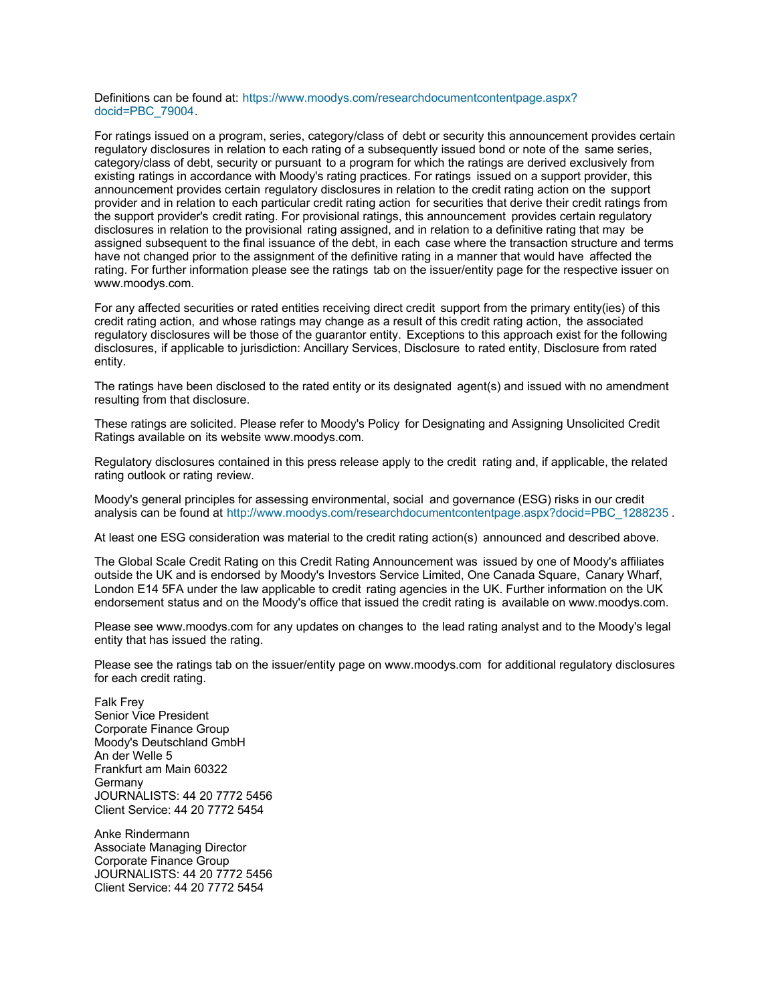#### [Definitions can be found at: https://www.moodys.com/researchdocumentcontentpage.aspx?](https://www.moodys.com/researchdocumentcontentpage.aspx?docid=PBC_79004) docid=PBC\_79004.

For ratings issued on a program, series, category/class of debt or security this announcement provides certain regulatory disclosures in relation to each rating of a subsequently issued bond or note of the same series, category/class of debt, security or pursuant to a program for which the ratings are derived exclusively from existing ratings in accordance with Moody's rating practices. For ratings issued on a support provider, this announcement provides certain regulatory disclosures in relation to the credit rating action on the support provider and in relation to each particular credit rating action for securities that derive their credit ratings from the support provider's credit rating. For provisional ratings, this announcement provides certain regulatory disclosures in relation to the provisional rating assigned, and in relation to a definitive rating that may be assigned subsequent to the final issuance of the debt, in each case where the transaction structure and terms have not changed prior to the assignment of the definitive rating in a manner that would have affected the rating. For further information please see the ratings tab on the issuer/entity page for the respective issuer on www.moodys.com.

For any affected securities or rated entities receiving direct credit support from the primary entity(ies) of this credit rating action, and whose ratings may change as a result of this credit rating action, the associated regulatory disclosures will be those of the guarantor entity. Exceptions to this approach exist for the following disclosures, if applicable to jurisdiction: Ancillary Services, Disclosure to rated entity, Disclosure from rated entity.

The ratings have been disclosed to the rated entity or its designated agent(s) and issued with no amendment resulting from that disclosure.

These ratings are solicited. Please refer to Moody's Policy for Designating and Assigning Unsolicited Credit Ratings available on its website www.moodys.com.

Regulatory disclosures contained in this press release apply to the credit rating and, if applicable, the related rating outlook or rating review.

Moody's general principles for assessing environmental, social and governance (ESG) risks in our credit analysis can be found at http://www.moodys.com/researchdocumentcontentpage.aspx?docid=PBC 1288235.

At least one ESG consideration was material to the credit rating action(s) announced and described above.

The Global Scale Credit Rating on this Credit Rating Announcement was issued by one of Moody's affiliates outside the UK and is endorsed by Moody's Investors Service Limited, One Canada Square, Canary Wharf, London E14 5FA under the law applicable to credit rating agencies in the UK. Further information on the UK endorsement status and on the Moody's office that issued the credit rating is available on www.moodys.com.

Please see www.moodys.com for any updates on changes to the lead rating analyst and to the Moody's legal entity that has issued the rating.

Please see the ratings tab on the issuer/entity page on www.moodys.com for additional regulatory disclosures for each credit rating.

Falk Frey Senior Vice President Corporate Finance Group Moody's Deutschland GmbH An der Welle 5 Frankfurt am Main 60322 Germany JOURNALISTS: 44 20 7772 5456 Client Service: 44 20 7772 5454

Anke Rindermann Associate Managing Director Corporate Finance Group JOURNALISTS: 44 20 7772 5456 Client Service: 44 20 7772 5454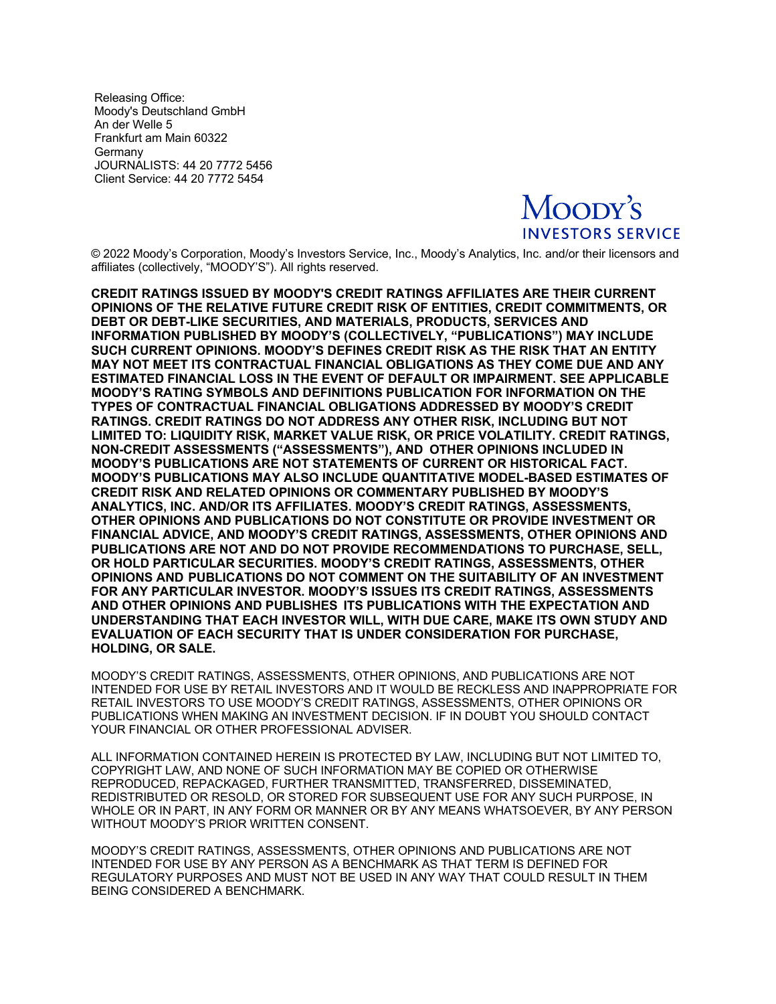Releasing Office: Moody's Deutschland GmbH An der Welle 5 Frankfurt am Main 60322 Germany JOURNALISTS: 44 20 7772 5456 Client Service: 44 20 7772 5454

© 2022 Moody's Corporation, Moody's Investors Service, Inc., Moody's Analytics, Inc. and/or their licensors and affiliates (collectively, "MOODY'S"). All rights reserved.

Moopy's

**INVESTORS SERVICE** 

**CREDIT RATINGS ISSUED BY MOODY'S CREDIT RATINGS AFFILIATES ARE THEIR CURRENT OPINIONS OF THE RELATIVE FUTURE CREDIT RISK OF ENTITIES, CREDIT COMMITMENTS, OR DEBT OR DEBT-LIKE SECURITIES, AND MATERIALS, PRODUCTS, SERVICES AND INFORMATION PUBLISHED BY MOODY'S (COLLECTIVELY, "PUBLICATIONS") MAY INCLUDE SUCH CURRENT OPINIONS. MOODY'S DEFINES CREDIT RISK AS THE RISK THAT AN ENTITY MAY NOT MEET ITS CONTRACTUAL FINANCIAL OBLIGATIONS AS THEY COME DUE AND ANY ESTIMATED FINANCIAL LOSS IN THE EVENT OF DEFAULT OR IMPAIRMENT. SEE APPLICABLE MOODY'S RATING SYMBOLS AND DEFINITIONS PUBLICATION FOR INFORMATION ON THE TYPES OF CONTRACTUAL FINANCIAL OBLIGATIONS ADDRESSED BY MOODY'S CREDIT RATINGS. CREDIT RATINGS DO NOT ADDRESS ANY OTHER RISK, INCLUDING BUT NOT LIMITED TO: LIQUIDITY RISK, MARKET VALUE RISK, OR PRICE VOLATILITY. CREDIT RATINGS, NON-CREDIT ASSESSMENTS ("ASSESSMENTS"), AND OTHER OPINIONS INCLUDED IN MOODY'S PUBLICATIONS ARE NOT STATEMENTS OF CURRENT OR HISTORICAL FACT. MOODY'S PUBLICATIONS MAY ALSO INCLUDE QUANTITATIVE MODEL-BASED ESTIMATES OF CREDIT RISK AND RELATED OPINIONS OR COMMENTARY PUBLISHED BY MOODY'S ANALYTICS, INC. AND/OR ITS AFFILIATES. MOODY'S CREDIT RATINGS, ASSESSMENTS, OTHER OPINIONS AND PUBLICATIONS DO NOT CONSTITUTE OR PROVIDE INVESTMENT OR FINANCIAL ADVICE, AND MOODY'S CREDIT RATINGS, ASSESSMENTS, OTHER OPINIONS AND PUBLICATIONS ARE NOT AND DO NOT PROVIDE RECOMMENDATIONS TO PURCHASE, SELL, OR HOLD PARTICULAR SECURITIES. MOODY'S CREDIT RATINGS, ASSESSMENTS, OTHER OPINIONS AND PUBLICATIONS DO NOT COMMENT ON THE SUITABILITY OF AN INVESTMENT FOR ANY PARTICULAR INVESTOR. MOODY'S ISSUES ITS CREDIT RATINGS, ASSESSMENTS AND OTHER OPINIONS AND PUBLISHES ITS PUBLICATIONS WITH THE EXPECTATION AND UNDERSTANDING THAT EACH INVESTOR WILL, WITH DUE CARE, MAKE ITS OWN STUDY AND EVALUATION OF EACH SECURITY THAT IS UNDER CONSIDERATION FOR PURCHASE, HOLDING, OR SALE.** 

MOODY'S CREDIT RATINGS, ASSESSMENTS, OTHER OPINIONS, AND PUBLICATIONS ARE NOT INTENDED FOR USE BY RETAIL INVESTORS AND IT WOULD BE RECKLESS AND INAPPROPRIATE FOR RETAIL INVESTORS TO USE MOODY'S CREDIT RATINGS, ASSESSMENTS, OTHER OPINIONS OR PUBLICATIONS WHEN MAKING AN INVESTMENT DECISION. IF IN DOUBT YOU SHOULD CONTACT YOUR FINANCIAL OR OTHER PROFESSIONAL ADVISER.

ALL INFORMATION CONTAINED HEREIN IS PROTECTED BY LAW, INCLUDING BUT NOT LIMITED TO, COPYRIGHT LAW, AND NONE OF SUCH INFORMATION MAY BE COPIED OR OTHERWISE REPRODUCED, REPACKAGED, FURTHER TRANSMITTED, TRANSFERRED, DISSEMINATED, REDISTRIBUTED OR RESOLD, OR STORED FOR SUBSEQUENT USE FOR ANY SUCH PURPOSE, IN WHOLE OR IN PART, IN ANY FORM OR MANNER OR BY ANY MEANS WHATSOEVER, BY ANY PERSON WITHOUT MOODY'S PRIOR WRITTEN CONSENT.

MOODY'S CREDIT RATINGS, ASSESSMENTS, OTHER OPINIONS AND PUBLICATIONS ARE NOT INTENDED FOR USE BY ANY PERSON AS A BENCHMARK AS THAT TERM IS DEFINED FOR REGULATORY PURPOSES AND MUST NOT BE USED IN ANY WAY THAT COULD RESULT IN THEM BEING CONSIDERED A BENCHMARK.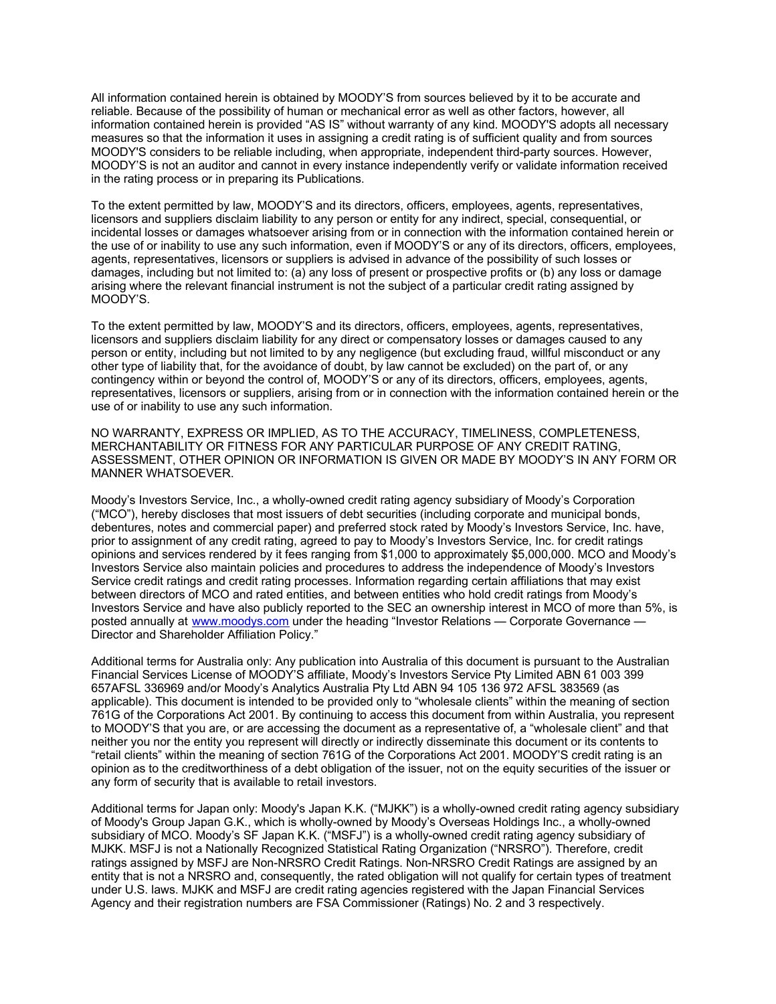All information contained herein is obtained by MOODY'S from sources believed by it to be accurate and reliable. Because of the possibility of human or mechanical error as well as other factors, however, all information contained herein is provided "AS IS" without warranty of any kind. MOODY'S adopts all necessary measures so that the information it uses in assigning a credit rating is of sufficient quality and from sources MOODY'S considers to be reliable including, when appropriate, independent third-party sources. However, MOODY'S is not an auditor and cannot in every instance independently verify or validate information received in the rating process or in preparing its Publications.

To the extent permitted by law, MOODY'S and its directors, officers, employees, agents, representatives, licensors and suppliers disclaim liability to any person or entity for any indirect, special, consequential, or incidental losses or damages whatsoever arising from or in connection with the information contained herein or the use of or inability to use any such information, even if MOODY'S or any of its directors, officers, employees, agents, representatives, licensors or suppliers is advised in advance of the possibility of such losses or damages, including but not limited to: (a) any loss of present or prospective profits or (b) any loss or damage arising where the relevant financial instrument is not the subject of a particular credit rating assigned by MOODY'S.

To the extent permitted by law, MOODY'S and its directors, officers, employees, agents, representatives, licensors and suppliers disclaim liability for any direct or compensatory losses or damages caused to any person or entity, including but not limited to by any negligence (but excluding fraud, willful misconduct or any other type of liability that, for the avoidance of doubt, by law cannot be excluded) on the part of, or any contingency within or beyond the control of, MOODY'S or any of its directors, officers, employees, agents, representatives, licensors or suppliers, arising from or in connection with the information contained herein or the use of or inability to use any such information.

NO WARRANTY, EXPRESS OR IMPLIED, AS TO THE ACCURACY, TIMELINESS, COMPLETENESS, MERCHANTABILITY OR FITNESS FOR ANY PARTICULAR PURPOSE OF ANY CREDIT RATING, ASSESSMENT, OTHER OPINION OR INFORMATION IS GIVEN OR MADE BY MOODY'S IN ANY FORM OR MANNER WHATSOEVER.

Moody's Investors Service, Inc., a wholly-owned credit rating agency subsidiary of Moody's Corporation ("MCO"), hereby discloses that most issuers of debt securities (including corporate and municipal bonds, debentures, notes and commercial paper) and preferred stock rated by Moody's Investors Service, Inc. have, prior to assignment of any credit rating, agreed to pay to Moody's Investors Service, Inc. for credit ratings opinions and services rendered by it fees ranging from \$1,000 to approximately \$5,000,000. MCO and Moody's Investors Service also maintain policies and procedures to address the independence of Moody's Investors Service credit ratings and credit rating processes. Information regarding certain affiliations that may exist between directors of MCO and rated entities, and between entities who hold credit ratings from Moody's Investors Service and have also publicly reported to the SEC an ownership interest in MCO of more than 5%, is posted annually at [www.moodys.com](http://www.moodys.com/) under the heading "Investor Relations - Corporate Governance -Director and Shareholder Affiliation Policy."

Additional terms for Australia only: Any publication into Australia of this document is pursuant to the Australian Financial Services License of MOODY'S affiliate, Moody's Investors Service Pty Limited ABN 61 003 399 657AFSL 336969 and/or Moody's Analytics Australia Pty Ltd ABN 94 105 136 972 AFSL 383569 (as applicable). This document is intended to be provided only to "wholesale clients" within the meaning of section 761G of the Corporations Act 2001. By continuing to access this document from within Australia, you represent to MOODY'S that you are, or are accessing the document as a representative of, a "wholesale client" and that neither you nor the entity you represent will directly or indirectly disseminate this document or its contents to "retail clients" within the meaning of section 761G of the Corporations Act 2001. MOODY'S credit rating is an opinion as to the creditworthiness of a debt obligation of the issuer, not on the equity securities of the issuer or any form of security that is available to retail investors.

Additional terms for Japan only: Moody's Japan K.K. ("MJKK") is a wholly-owned credit rating agency subsidiary of Moody's Group Japan G.K., which is wholly-owned by Moody's Overseas Holdings Inc., a wholly-owned subsidiary of MCO. Moody's SF Japan K.K. ("MSFJ") is a wholly-owned credit rating agency subsidiary of MJKK. MSFJ is not a Nationally Recognized Statistical Rating Organization ("NRSRO"). Therefore, credit ratings assigned by MSFJ are Non-NRSRO Credit Ratings. Non-NRSRO Credit Ratings are assigned by an entity that is not a NRSRO and, consequently, the rated obligation will not qualify for certain types of treatment under U.S. laws. MJKK and MSFJ are credit rating agencies registered with the Japan Financial Services Agency and their registration numbers are FSA Commissioner (Ratings) No. 2 and 3 respectively.